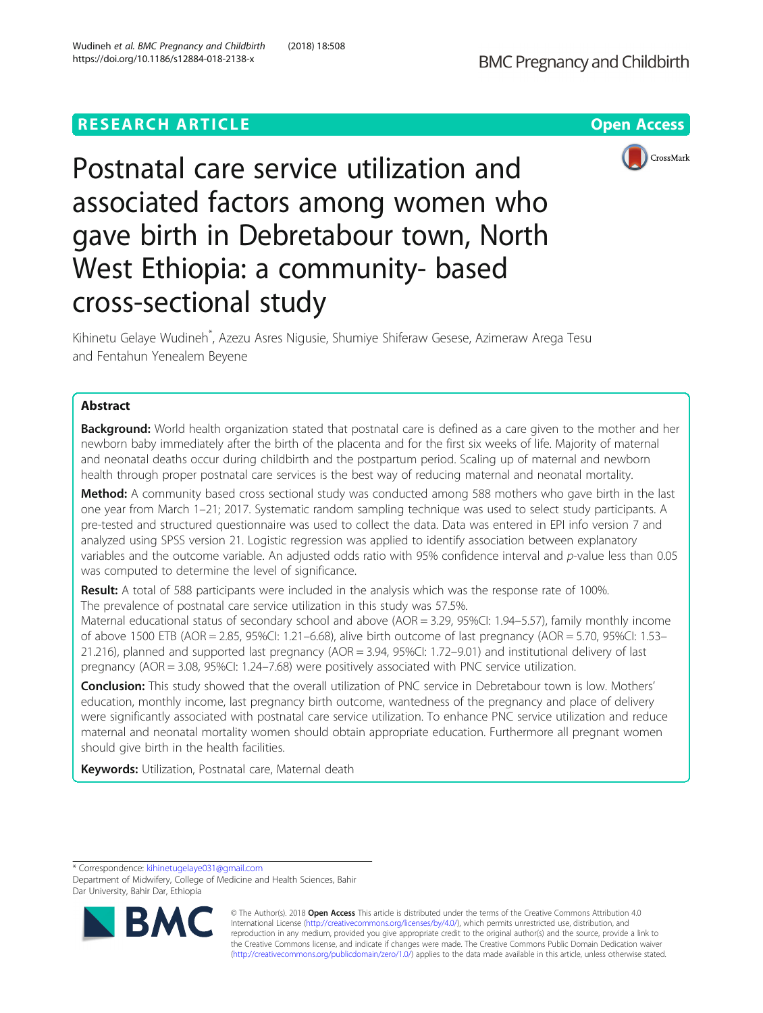# **RESEARCH ARTICLE Example 2014 12:30 The Open Access**



Postnatal care service utilization and associated factors among women who gave birth in Debretabour town, North West Ethiopia: a community- based cross-sectional study

Kihinetu Gelaye Wudineh<sup>\*</sup>, Azezu Asres Nigusie, Shumiye Shiferaw Gesese, Azimeraw Arega Tesu and Fentahun Yenealem Beyene

## Abstract

**Background:** World health organization stated that postnatal care is defined as a care given to the mother and her newborn baby immediately after the birth of the placenta and for the first six weeks of life. Majority of maternal and neonatal deaths occur during childbirth and the postpartum period. Scaling up of maternal and newborn health through proper postnatal care services is the best way of reducing maternal and neonatal mortality.

Method: A community based cross sectional study was conducted among 588 mothers who gave birth in the last one year from March 1–21; 2017. Systematic random sampling technique was used to select study participants. A pre-tested and structured questionnaire was used to collect the data. Data was entered in EPI info version 7 and analyzed using SPSS version 21. Logistic regression was applied to identify association between explanatory variables and the outcome variable. An adjusted odds ratio with 95% confidence interval and p-value less than 0.05 was computed to determine the level of significance.

Result: A total of 588 participants were included in the analysis which was the response rate of 100%. The prevalence of postnatal care service utilization in this study was 57.5%.

Maternal educational status of secondary school and above (AOR = 3.29, 95%CI: 1.94–5.57), family monthly income of above 1500 ETB (AOR = 2.85, 95%CI: 1.21–6.68), alive birth outcome of last pregnancy (AOR = 5.70, 95%CI: 1.53– 21.216), planned and supported last pregnancy (AOR = 3.94, 95%CI: 1.72–9.01) and institutional delivery of last pregnancy (AOR = 3.08, 95%CI: 1.24–7.68) were positively associated with PNC service utilization.

Conclusion: This study showed that the overall utilization of PNC service in Debretabour town is low. Mothers' education, monthly income, last pregnancy birth outcome, wantedness of the pregnancy and place of delivery were significantly associated with postnatal care service utilization. To enhance PNC service utilization and reduce maternal and neonatal mortality women should obtain appropriate education. Furthermore all pregnant women should give birth in the health facilities.

Keywords: Utilization, Postnatal care, Maternal death

\* Correspondence: [kihinetugelaye031@gmail.com](mailto:kihinetugelaye031@gmail.com)

Department of Midwifery, College of Medicine and Health Sciences, Bahir Dar University, Bahir Dar, Ethiopia



© The Author(s). 2018 Open Access This article is distributed under the terms of the Creative Commons Attribution 4.0 International License [\(http://creativecommons.org/licenses/by/4.0/](http://creativecommons.org/licenses/by/4.0/)), which permits unrestricted use, distribution, and reproduction in any medium, provided you give appropriate credit to the original author(s) and the source, provide a link to the Creative Commons license, and indicate if changes were made. The Creative Commons Public Domain Dedication waiver [\(http://creativecommons.org/publicdomain/zero/1.0/](http://creativecommons.org/publicdomain/zero/1.0/)) applies to the data made available in this article, unless otherwise stated.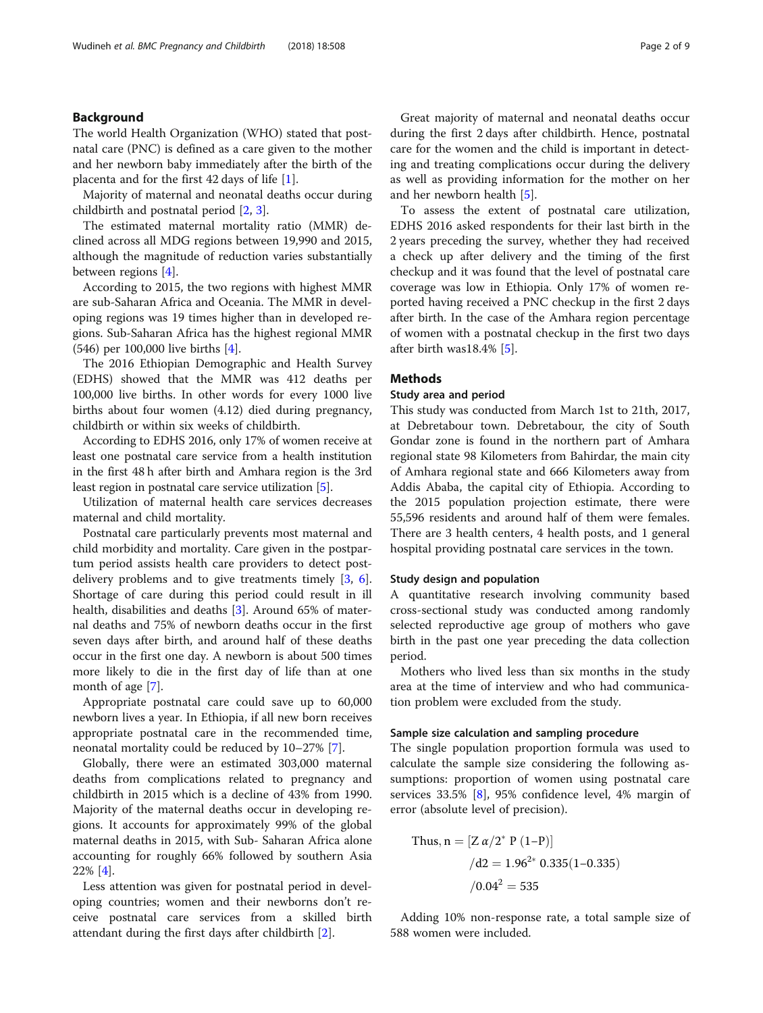### Background

The world Health Organization (WHO) stated that postnatal care (PNC) is defined as a care given to the mother and her newborn baby immediately after the birth of the placenta and for the first 42 days of life [[1\]](#page-7-0).

Majority of maternal and neonatal deaths occur during childbirth and postnatal period [[2,](#page-7-0) [3\]](#page-7-0).

The estimated maternal mortality ratio (MMR) declined across all MDG regions between 19,990 and 2015, although the magnitude of reduction varies substantially between regions [\[4](#page-7-0)].

According to 2015, the two regions with highest MMR are sub-Saharan Africa and Oceania. The MMR in developing regions was 19 times higher than in developed regions. Sub-Saharan Africa has the highest regional MMR (546) per 100,000 live births [\[4](#page-7-0)].

The 2016 Ethiopian Demographic and Health Survey (EDHS) showed that the MMR was 412 deaths per 100,000 live births. In other words for every 1000 live births about four women (4.12) died during pregnancy, childbirth or within six weeks of childbirth.

According to EDHS 2016, only 17% of women receive at least one postnatal care service from a health institution in the first 48 h after birth and Amhara region is the 3rd least region in postnatal care service utilization [[5\]](#page-7-0).

Utilization of maternal health care services decreases maternal and child mortality.

Postnatal care particularly prevents most maternal and child morbidity and mortality. Care given in the postpartum period assists health care providers to detect postdelivery problems and to give treatments timely [[3,](#page-7-0) [6](#page-7-0)]. Shortage of care during this period could result in ill health, disabilities and deaths [[3\]](#page-7-0). Around 65% of maternal deaths and 75% of newborn deaths occur in the first seven days after birth, and around half of these deaths occur in the first one day. A newborn is about 500 times more likely to die in the first day of life than at one month of age [\[7](#page-7-0)].

Appropriate postnatal care could save up to 60,000 newborn lives a year. In Ethiopia, if all new born receives appropriate postnatal care in the recommended time, neonatal mortality could be reduced by 10–27% [\[7](#page-7-0)].

Globally, there were an estimated 303,000 maternal deaths from complications related to pregnancy and childbirth in 2015 which is a decline of 43% from 1990. Majority of the maternal deaths occur in developing regions. It accounts for approximately 99% of the global maternal deaths in 2015, with Sub- Saharan Africa alone accounting for roughly 66% followed by southern Asia 22% [\[4](#page-7-0)].

Less attention was given for postnatal period in developing countries; women and their newborns don't receive postnatal care services from a skilled birth attendant during the first days after childbirth [\[2](#page-7-0)].

Great majority of maternal and neonatal deaths occur during the first 2 days after childbirth. Hence, postnatal care for the women and the child is important in detecting and treating complications occur during the delivery as well as providing information for the mother on her and her newborn health [\[5](#page-7-0)].

To assess the extent of postnatal care utilization, EDHS 2016 asked respondents for their last birth in the 2 years preceding the survey, whether they had received a check up after delivery and the timing of the first checkup and it was found that the level of postnatal care coverage was low in Ethiopia. Only 17% of women reported having received a PNC checkup in the first 2 days after birth. In the case of the Amhara region percentage of women with a postnatal checkup in the first two days after birth was18.4% [[5\]](#page-7-0).

#### Methods

#### Study area and period

This study was conducted from March 1st to 21th, 2017, at Debretabour town. Debretabour, the city of South Gondar zone is found in the northern part of Amhara regional state 98 Kilometers from Bahirdar, the main city of Amhara regional state and 666 Kilometers away from Addis Ababa, the capital city of Ethiopia. According to the 2015 population projection estimate, there were 55,596 residents and around half of them were females. There are 3 health centers, 4 health posts, and 1 general hospital providing postnatal care services in the town.

### Study design and population

A quantitative research involving community based cross-sectional study was conducted among randomly selected reproductive age group of mothers who gave birth in the past one year preceding the data collection period.

Mothers who lived less than six months in the study area at the time of interview and who had communication problem were excluded from the study.

### Sample size calculation and sampling procedure

The single population proportion formula was used to calculate the sample size considering the following assumptions: proportion of women using postnatal care services 33.5% [\[8](#page-7-0)], 95% confidence level, 4% margin of error (absolute level of precision).

Thus, n = 
$$
[Z \alpha/2^* P (1-P)]
$$
  
\n
$$
/d2 = 1.96^{2*} 0.335(1-0.335)
$$
\n
$$
/0.04^2 = 535
$$

Adding 10% non-response rate, a total sample size of 588 women were included.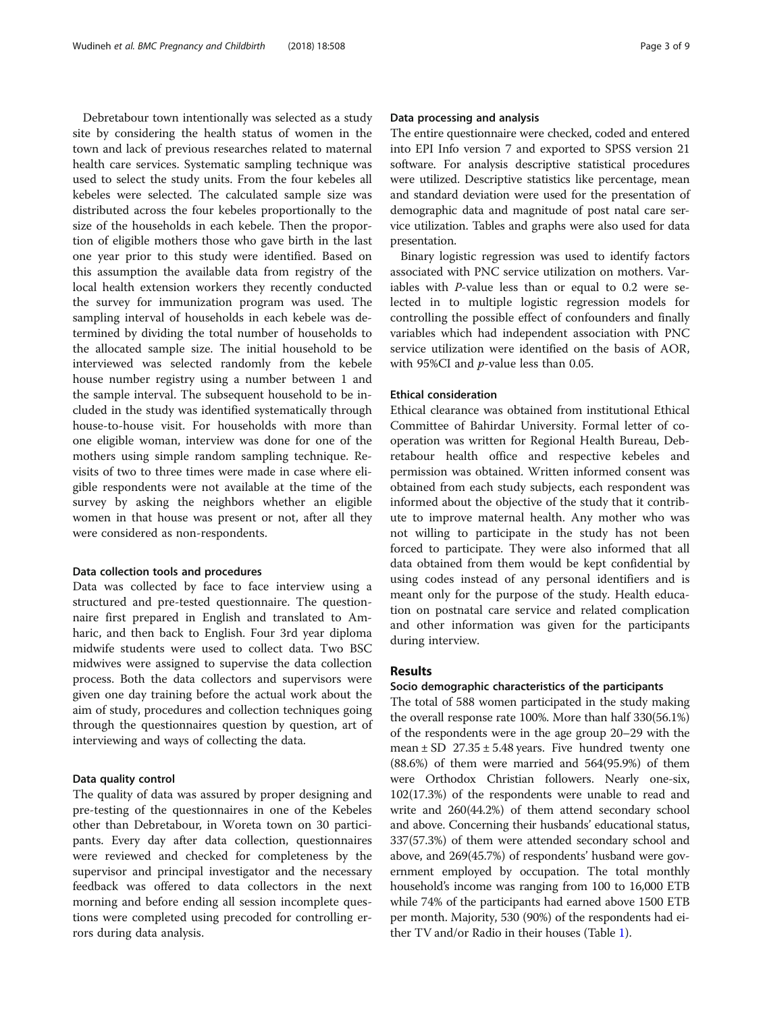Debretabour town intentionally was selected as a study site by considering the health status of women in the town and lack of previous researches related to maternal health care services. Systematic sampling technique was used to select the study units. From the four kebeles all kebeles were selected. The calculated sample size was distributed across the four kebeles proportionally to the size of the households in each kebele. Then the proportion of eligible mothers those who gave birth in the last one year prior to this study were identified. Based on this assumption the available data from registry of the local health extension workers they recently conducted the survey for immunization program was used. The sampling interval of households in each kebele was determined by dividing the total number of households to the allocated sample size. The initial household to be interviewed was selected randomly from the kebele house number registry using a number between 1 and the sample interval. The subsequent household to be included in the study was identified systematically through house-to-house visit. For households with more than one eligible woman, interview was done for one of the mothers using simple random sampling technique. Revisits of two to three times were made in case where eligible respondents were not available at the time of the survey by asking the neighbors whether an eligible women in that house was present or not, after all they were considered as non-respondents.

### Data collection tools and procedures

Data was collected by face to face interview using a structured and pre-tested questionnaire. The questionnaire first prepared in English and translated to Amharic, and then back to English. Four 3rd year diploma midwife students were used to collect data. Two BSC midwives were assigned to supervise the data collection process. Both the data collectors and supervisors were given one day training before the actual work about the aim of study, procedures and collection techniques going through the questionnaires question by question, art of interviewing and ways of collecting the data.

### Data quality control

The quality of data was assured by proper designing and pre-testing of the questionnaires in one of the Kebeles other than Debretabour, in Woreta town on 30 participants. Every day after data collection, questionnaires were reviewed and checked for completeness by the supervisor and principal investigator and the necessary feedback was offered to data collectors in the next morning and before ending all session incomplete questions were completed using precoded for controlling errors during data analysis.

#### Data processing and analysis

The entire questionnaire were checked, coded and entered into EPI Info version 7 and exported to SPSS version 21 software. For analysis descriptive statistical procedures were utilized. Descriptive statistics like percentage, mean and standard deviation were used for the presentation of demographic data and magnitude of post natal care service utilization. Tables and graphs were also used for data presentation.

Binary logistic regression was used to identify factors associated with PNC service utilization on mothers. Variables with P-value less than or equal to 0.2 were selected in to multiple logistic regression models for controlling the possible effect of confounders and finally variables which had independent association with PNC service utilization were identified on the basis of AOR, with 95%CI and p-value less than 0.05.

#### Ethical consideration

Ethical clearance was obtained from institutional Ethical Committee of Bahirdar University. Formal letter of cooperation was written for Regional Health Bureau, Debretabour health office and respective kebeles and permission was obtained. Written informed consent was obtained from each study subjects, each respondent was informed about the objective of the study that it contribute to improve maternal health. Any mother who was not willing to participate in the study has not been forced to participate. They were also informed that all data obtained from them would be kept confidential by using codes instead of any personal identifiers and is meant only for the purpose of the study. Health education on postnatal care service and related complication and other information was given for the participants during interview.

#### Results

#### Socio demographic characteristics of the participants

The total of 588 women participated in the study making the overall response rate 100%. More than half 330(56.1%) of the respondents were in the age group 20–29 with the mean  $\pm$  SD 27.35  $\pm$  5.48 years. Five hundred twenty one (88.6%) of them were married and 564(95.9%) of them were Orthodox Christian followers. Nearly one-six, 102(17.3%) of the respondents were unable to read and write and 260(44.2%) of them attend secondary school and above. Concerning their husbands' educational status, 337(57.3%) of them were attended secondary school and above, and 269(45.7%) of respondents' husband were government employed by occupation. The total monthly household's income was ranging from 100 to 16,000 ETB while 74% of the participants had earned above 1500 ETB per month. Majority, 530 (90%) of the respondents had either TV and/or Radio in their houses (Table [1](#page-3-0)).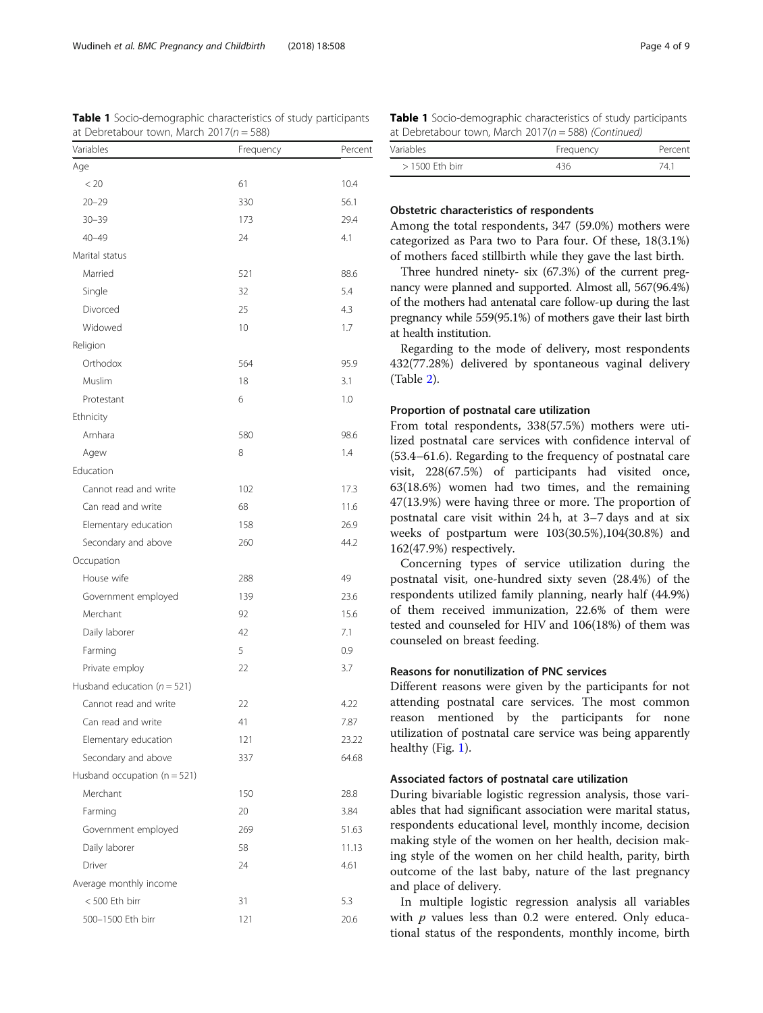<span id="page-3-0"></span>Wudineh et al. BMC Pregnancy and Childbirth (2018) 18:508 Page 4 of 9

Table 1 Socio-demographic characteristics of study participants

| Variables                        | Frequency | Percent |
|----------------------------------|-----------|---------|
| Age                              |           |         |
| < 20                             | 61        | 10.4    |
| $20 - 29$                        | 330       | 56.1    |
| $30 - 39$                        | 173       | 29.4    |
| $40 - 49$                        | 24        | 4.1     |
| Marital status                   |           |         |
| Married                          | 521       | 88.6    |
| Single                           | 32        | 5.4     |
| Divorced                         | 25        | 4.3     |
| Widowed                          | 10        | 1.7     |
| Religion                         |           |         |
| Orthodox                         | 564       | 95.9    |
| Muslim                           | 18        | 3.1     |
| Protestant                       | 6         | 1.0     |
| Ethnicity                        |           |         |
| Amhara                           | 580       | 98.6    |
| Agew                             | 8         | 1.4     |
| Education                        |           |         |
| Cannot read and write            | 102       | 17.3    |
| Can read and write               | 68        | 11.6    |
| Elementary education             | 158       | 26.9    |
| Secondary and above              | 260       | 44.2    |
| Occupation                       |           |         |
| House wife                       | 288       | 49      |
| Government employed              | 139       | 23.6    |
| Merchant                         | 92        | 15.6    |
| Daily laborer                    | 42        | 7.1     |
| Farming                          | 5         | 0.9     |
| Private employ                   | 22        | 3.7     |
| Husband education ( $n = 521$ )  |           |         |
| Cannot read and write            | 22        | 4.22    |
| Can read and write               | 41        | 7.87    |
| Elementary education             | 121       | 23.22   |
| Secondary and above              | 337       | 64.68   |
| Husband occupation ( $n = 521$ ) |           |         |
| Merchant                         | 150       | 28.8    |
| Farming                          | 20        | 3.84    |
| Government employed              | 269       | 51.63   |
| Daily laborer                    | 58        | 11.13   |
| Driver                           | 24        | 4.61    |
| Average monthly income           |           |         |
| < 500 Eth birr                   | 31        | 5.3     |
| 500-1500 Eth birr                | 121       | 20.6    |

| <b>Table 1</b> Socio-demographic characteristics of study participants |  |
|------------------------------------------------------------------------|--|
| at Debretabour town, March 2017(n = 588) (Continued)                   |  |

| Variables        | Frequency | Percent |
|------------------|-----------|---------|
| $>1500$ Fth birr |           | 74.1    |

### Obstetric characteristics of respondents

Among the total respondents, 347 (59.0%) mothers were categorized as Para two to Para four. Of these, 18(3.1%) of mothers faced stillbirth while they gave the last birth.

Three hundred ninety- six (67.3%) of the current pregnancy were planned and supported. Almost all, 567(96.4%) of the mothers had antenatal care follow-up during the last pregnancy while 559(95.1%) of mothers gave their last birth at health institution.

Regarding to the mode of delivery, most respondents 432(77.28%) delivered by spontaneous vaginal delivery (Table [2\)](#page-4-0).

#### Proportion of postnatal care utilization

From total respondents, 338(57.5%) mothers were utilized postnatal care services with confidence interval of (53.4–61.6). Regarding to the frequency of postnatal care visit, 228(67.5%) of participants had visited once, 63(18.6%) women had two times, and the remaining 47(13.9%) were having three or more. The proportion of postnatal care visit within 24 h, at 3–7 days and at six weeks of postpartum were 103(30.5%),104(30.8%) and 162(47.9%) respectively.

Concerning types of service utilization during the postnatal visit, one-hundred sixty seven (28.4%) of the respondents utilized family planning, nearly half (44.9%) of them received immunization, 22.6% of them were tested and counseled for HIV and 106(18%) of them was counseled on breast feeding.

#### Reasons for nonutilization of PNC services

Different reasons were given by the participants for not attending postnatal care services. The most common reason mentioned by the participants for none utilization of postnatal care service was being apparently healthy (Fig. [1\)](#page-5-0).

#### Associated factors of postnatal care utilization

During bivariable logistic regression analysis, those variables that had significant association were marital status, respondents educational level, monthly income, decision making style of the women on her health, decision making style of the women on her child health, parity, birth outcome of the last baby, nature of the last pregnancy and place of delivery.

In multiple logistic regression analysis all variables with  $p$  values less than 0.2 were entered. Only educational status of the respondents, monthly income, birth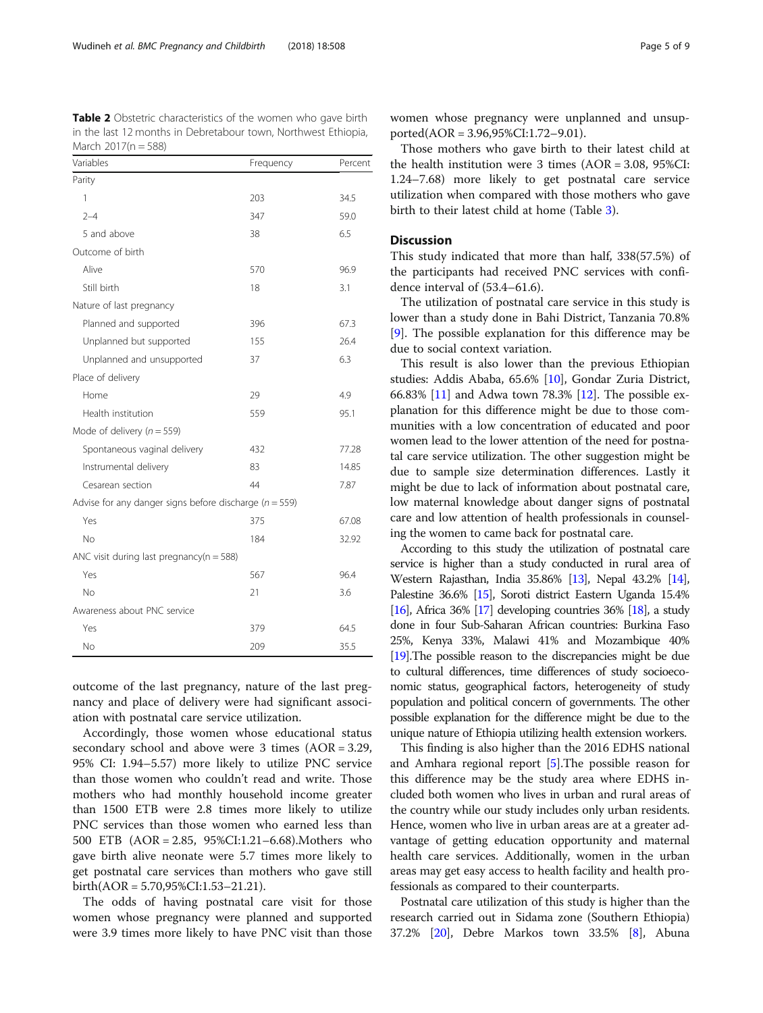<span id="page-4-0"></span>Table 2 Obstetric characteristics of the women who gave birth in the last 12 months in Debretabour town, Northwest Ethiopia, March 2017(n = 588)

| Variables                                                  | Frequency | Percent |
|------------------------------------------------------------|-----------|---------|
| Parity                                                     |           |         |
| 1                                                          | 203       | 34.5    |
| $2 - 4$                                                    | 347       | 59.0    |
| 5 and above                                                | 38        | 6.5     |
| Outcome of birth                                           |           |         |
| Alive                                                      | 570       | 96.9    |
| Still birth                                                | 18        | 3.1     |
| Nature of last pregnancy                                   |           |         |
| Planned and supported                                      | 396       | 67.3    |
| Unplanned but supported                                    | 155       | 26.4    |
| Unplanned and unsupported                                  | 37        | 6.3     |
| Place of delivery                                          |           |         |
| Home                                                       | 29        | 4.9     |
| Health institution                                         | 559       | 95.1    |
| Mode of delivery ( $n = 559$ )                             |           |         |
| Spontaneous vaginal delivery                               | 432       | 77.28   |
| Instrumental delivery                                      | 83        | 14.85   |
| Cesarean section                                           | 44        | 7.87    |
| Advise for any danger signs before discharge ( $n = 559$ ) |           |         |
| Yes                                                        | 375       | 67.08   |
| N <sub>o</sub>                                             | 184       | 32.92   |
| ANC visit during last pregnancy( $n = 588$ )               |           |         |
| Yes                                                        | 567       | 96.4    |
| <b>No</b>                                                  | 21        | 3.6     |
| Awareness about PNC service                                |           |         |
| Yes                                                        | 379       | 64.5    |
| No                                                         | 209       | 35.5    |

outcome of the last pregnancy, nature of the last pregnancy and place of delivery were had significant association with postnatal care service utilization.

Accordingly, those women whose educational status secondary school and above were 3 times (AOR = 3.29, 95% CI: 1.94–5.57) more likely to utilize PNC service than those women who couldn't read and write. Those mothers who had monthly household income greater than 1500 ETB were 2.8 times more likely to utilize PNC services than those women who earned less than 500 ETB (AOR = 2.85, 95%CI:1.21–6.68).Mothers who gave birth alive neonate were 5.7 times more likely to get postnatal care services than mothers who gave still birth(AOR = 5.70,95%CI:1.53–21.21).

The odds of having postnatal care visit for those women whose pregnancy were planned and supported were 3.9 times more likely to have PNC visit than those women whose pregnancy were unplanned and unsupported(AOR = 3.96,95%CI:1.72–9.01).

Those mothers who gave birth to their latest child at the health institution were 3 times (AOR = 3.08, 95%CI: 1.24–7.68) more likely to get postnatal care service utilization when compared with those mothers who gave birth to their latest child at home (Table [3\)](#page-6-0).

### Discussion

This study indicated that more than half, 338(57.5%) of the participants had received PNC services with confidence interval of (53.4–61.6).

The utilization of postnatal care service in this study is lower than a study done in Bahi District, Tanzania 70.8% [[9\]](#page-7-0). The possible explanation for this difference may be due to social context variation.

This result is also lower than the previous Ethiopian studies: Addis Ababa, 65.6% [[10](#page-7-0)], Gondar Zuria District, 66.83% [\[11\]](#page-7-0) and Adwa town 78.3% [\[12\]](#page-7-0). The possible explanation for this difference might be due to those communities with a low concentration of educated and poor women lead to the lower attention of the need for postnatal care service utilization. The other suggestion might be due to sample size determination differences. Lastly it might be due to lack of information about postnatal care, low maternal knowledge about danger signs of postnatal care and low attention of health professionals in counseling the women to came back for postnatal care.

According to this study the utilization of postnatal care service is higher than a study conducted in rural area of Western Rajasthan, India 35.86% [[13\]](#page-7-0), Nepal 43.2% [\[14\]](#page-7-0), Palestine 36.6% [\[15\]](#page-7-0), Soroti district Eastern Uganda 15.4% [[16\]](#page-7-0), Africa 36% [\[17](#page-7-0)] developing countries 36% [\[18](#page-7-0)], a study done in four Sub-Saharan African countries: Burkina Faso 25%, Kenya 33%, Malawi 41% and Mozambique 40% [[19\]](#page-7-0).The possible reason to the discrepancies might be due to cultural differences, time differences of study socioeconomic status, geographical factors, heterogeneity of study population and political concern of governments. The other possible explanation for the difference might be due to the unique nature of Ethiopia utilizing health extension workers.

This finding is also higher than the 2016 EDHS national and Amhara regional report [[5](#page-7-0)].The possible reason for this difference may be the study area where EDHS included both women who lives in urban and rural areas of the country while our study includes only urban residents. Hence, women who live in urban areas are at a greater advantage of getting education opportunity and maternal health care services. Additionally, women in the urban areas may get easy access to health facility and health professionals as compared to their counterparts.

Postnatal care utilization of this study is higher than the research carried out in Sidama zone (Southern Ethiopia) 37.2% [[20\]](#page-7-0), Debre Markos town 33.5% [\[8\]](#page-7-0), Abuna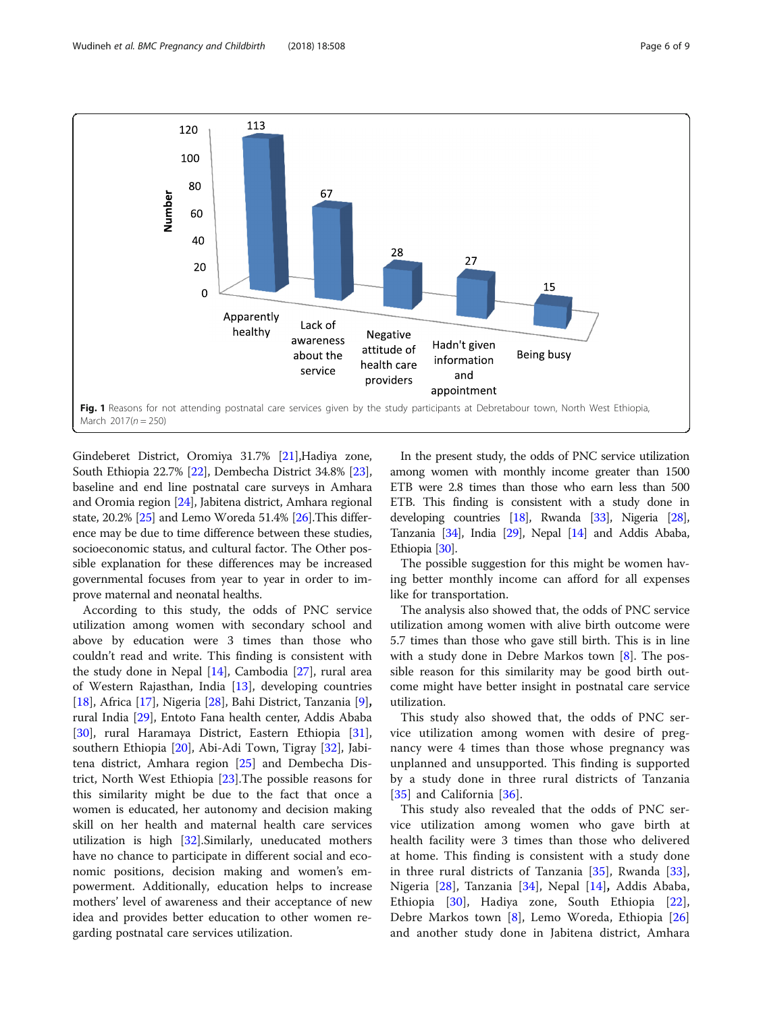<span id="page-5-0"></span>

Gindeberet District, Oromiya 31.7% [\[21](#page-7-0)],Hadiya zone, South Ethiopia 22.7% [\[22\]](#page-7-0), Dembecha District 34.8% [[23](#page-7-0)], baseline and end line postnatal care surveys in Amhara and Oromia region [[24\]](#page-8-0), Jabitena district, Amhara regional state, 20.2% [[25](#page-8-0)] and Lemo Woreda 51.4% [\[26\]](#page-8-0).This difference may be due to time difference between these studies, socioeconomic status, and cultural factor. The Other possible explanation for these differences may be increased governmental focuses from year to year in order to improve maternal and neonatal healths.

According to this study, the odds of PNC service utilization among women with secondary school and above by education were 3 times than those who couldn't read and write. This finding is consistent with the study done in Nepal  $[14]$  $[14]$ , Cambodia  $[27]$  $[27]$ , rural area of Western Rajasthan, India [[13\]](#page-7-0), developing countries [[18\]](#page-7-0), Africa [[17\]](#page-7-0), Nigeria [[28\]](#page-8-0), Bahi District, Tanzania [[9\]](#page-7-0), rural India [\[29\]](#page-8-0), Entoto Fana health center, Addis Ababa [[30\]](#page-8-0), rural Haramaya District, Eastern Ethiopia [\[31](#page-8-0)], southern Ethiopia [[20\]](#page-7-0), Abi-Adi Town, Tigray [\[32](#page-8-0)], Jabitena district, Amhara region [[25\]](#page-8-0) and Dembecha District, North West Ethiopia [\[23](#page-7-0)].The possible reasons for this similarity might be due to the fact that once a women is educated, her autonomy and decision making skill on her health and maternal health care services utilization is high [[32\]](#page-8-0).Similarly, uneducated mothers have no chance to participate in different social and economic positions, decision making and women's empowerment. Additionally, education helps to increase mothers' level of awareness and their acceptance of new idea and provides better education to other women regarding postnatal care services utilization.

In the present study, the odds of PNC service utilization among women with monthly income greater than 1500 ETB were 2.8 times than those who earn less than 500 ETB. This finding is consistent with a study done in developing countries [[18](#page-7-0)], Rwanda [[33](#page-8-0)], Nigeria [\[28](#page-8-0)], Tanzania [\[34](#page-8-0)], India [\[29\]](#page-8-0), Nepal [\[14\]](#page-7-0) and Addis Ababa, Ethiopia [[30](#page-8-0)].

The possible suggestion for this might be women having better monthly income can afford for all expenses like for transportation.

The analysis also showed that, the odds of PNC service utilization among women with alive birth outcome were 5.7 times than those who gave still birth. This is in line with a study done in Debre Markos town [[8\]](#page-7-0). The possible reason for this similarity may be good birth outcome might have better insight in postnatal care service utilization.

This study also showed that, the odds of PNC service utilization among women with desire of pregnancy were 4 times than those whose pregnancy was unplanned and unsupported. This finding is supported by a study done in three rural districts of Tanzania [[35\]](#page-8-0) and California [[36\]](#page-8-0).

This study also revealed that the odds of PNC service utilization among women who gave birth at health facility were 3 times than those who delivered at home. This finding is consistent with a study done in three rural districts of Tanzania [[35\]](#page-8-0), Rwanda [\[33](#page-8-0)], Nigeria [[28](#page-8-0)], Tanzania [[34\]](#page-8-0), Nepal [[14](#page-7-0)], Addis Ababa, Ethiopia [\[30](#page-8-0)], Hadiya zone, South Ethiopia [\[22](#page-7-0)], Debre Markos town [\[8](#page-7-0)], Lemo Woreda, Ethiopia [\[26](#page-8-0)] and another study done in Jabitena district, Amhara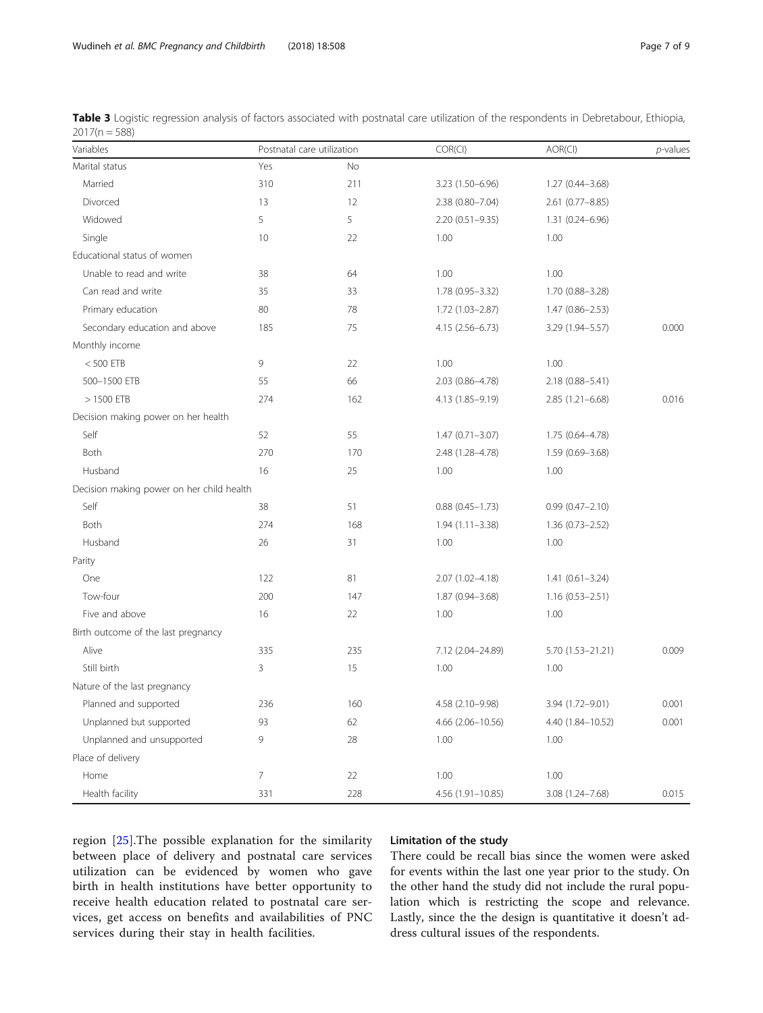<span id="page-6-0"></span>Table 3 Logistic regression analysis of factors associated with postnatal care utilization of the respondents in Debretabour, Ethiopia,  $2017(n = 588)$ 

| Variables                                 | Postnatal care utilization |           | COR(Cl)                | AOR(CI)             | $p$ -values |
|-------------------------------------------|----------------------------|-----------|------------------------|---------------------|-------------|
| Marital status                            | Yes                        | <b>No</b> |                        |                     |             |
| Married                                   | 310                        | 211       | 3.23 (1.50-6.96)       | 1.27 (0.44-3.68)    |             |
| Divorced                                  | 13                         | 12        | 2.38 (0.80-7.04)       | $2.61(0.77 - 8.85)$ |             |
| Widowed                                   | 5                          | 5         | $2.20(0.51 - 9.35)$    | 1.31 (0.24-6.96)    |             |
| Single                                    | 10                         | 22        | 1.00                   | 1.00                |             |
| Educational status of women               |                            |           |                        |                     |             |
| Unable to read and write                  | 38                         | 64        | 1.00                   | 1.00                |             |
| Can read and write                        | 35                         | 33        | 1.78 (0.95-3.32)       | 1.70 (0.88-3.28)    |             |
| Primary education                         | 80                         | 78        | $1.72(1.03 - 2.87)$    | $1.47(0.86 - 2.53)$ |             |
| Secondary education and above             | 185                        | 75        | 4.15 (2.56-6.73)       | 3.29 (1.94-5.57)    | 0.000       |
| Monthly income                            |                            |           |                        |                     |             |
| $< 500$ ETB                               | 9                          | 22        | 1.00                   | 1.00                |             |
| 500-1500 ETB                              | 55                         | 66        | 2.03 (0.86-4.78)       | 2.18 (0.88-5.41)    |             |
| > 1500 ETB                                | 274                        | 162       | 4.13 (1.85-9.19)       | $2.85(1.21 - 6.68)$ | 0.016       |
| Decision making power on her health       |                            |           |                        |                     |             |
| Self                                      | 52                         | 55        | $1.47(0.71 - 3.07)$    | 1.75 (0.64-4.78)    |             |
| Both                                      | 270                        | 170       | 2.48 (1.28-4.78)       | 1.59 (0.69-3.68)    |             |
| Husband                                   | 16                         | 25        | 1.00                   | 1.00                |             |
| Decision making power on her child health |                            |           |                        |                     |             |
| Self                                      | 38                         | 51        | $0.88$ $(0.45 - 1.73)$ | $0.99(0.47 - 2.10)$ |             |
| <b>Both</b>                               | 274                        | 168       | $1.94(1.11 - 3.38)$    | $1.36(0.73 - 2.52)$ |             |
| Husband                                   | 26                         | 31        | 1.00                   | 1.00                |             |
| Parity                                    |                            |           |                        |                     |             |
| One                                       | 122                        | 81        | 2.07 (1.02-4.18)       | $1.41(0.61 - 3.24)$ |             |
| Tow-four                                  | 200                        | 147       | 1.87 (0.94-3.68)       | $1.16(0.53 - 2.51)$ |             |
| Five and above                            | 16                         | 22        | 1.00                   | 1.00                |             |
| Birth outcome of the last pregnancy       |                            |           |                        |                     |             |
| Alive                                     | 335                        | 235       | 7.12 (2.04-24.89)      | 5.70 (1.53-21.21)   | 0.009       |
| Still birth                               | 3                          | 15        | 1.00                   | 1.00                |             |
| Nature of the last pregnancy              |                            |           |                        |                     |             |
| Planned and supported                     | 236                        | 160       | 4.58 (2.10-9.98)       | 3.94 (1.72-9.01)    | 0.001       |
| Unplanned but supported                   | 93                         | 62        | 4.66 (2.06-10.56)      | 4.40 (1.84-10.52)   | 0.001       |
| Unplanned and unsupported                 | 9                          | 28        | 1.00                   | 1.00                |             |
| Place of delivery                         |                            |           |                        |                     |             |
| Home                                      | $\overline{7}$             | 22        | 1.00                   | 1.00                |             |
| Health facility                           | 331                        | 228       | 4.56 (1.91-10.85)      | 3.08 (1.24-7.68)    | 0.015       |

region [[25\]](#page-8-0).The possible explanation for the similarity between place of delivery and postnatal care services utilization can be evidenced by women who gave birth in health institutions have better opportunity to receive health education related to postnatal care services, get access on benefits and availabilities of PNC services during their stay in health facilities.

### Limitation of the study

There could be recall bias since the women were asked for events within the last one year prior to the study. On the other hand the study did not include the rural population which is restricting the scope and relevance. Lastly, since the the design is quantitative it doesn't address cultural issues of the respondents.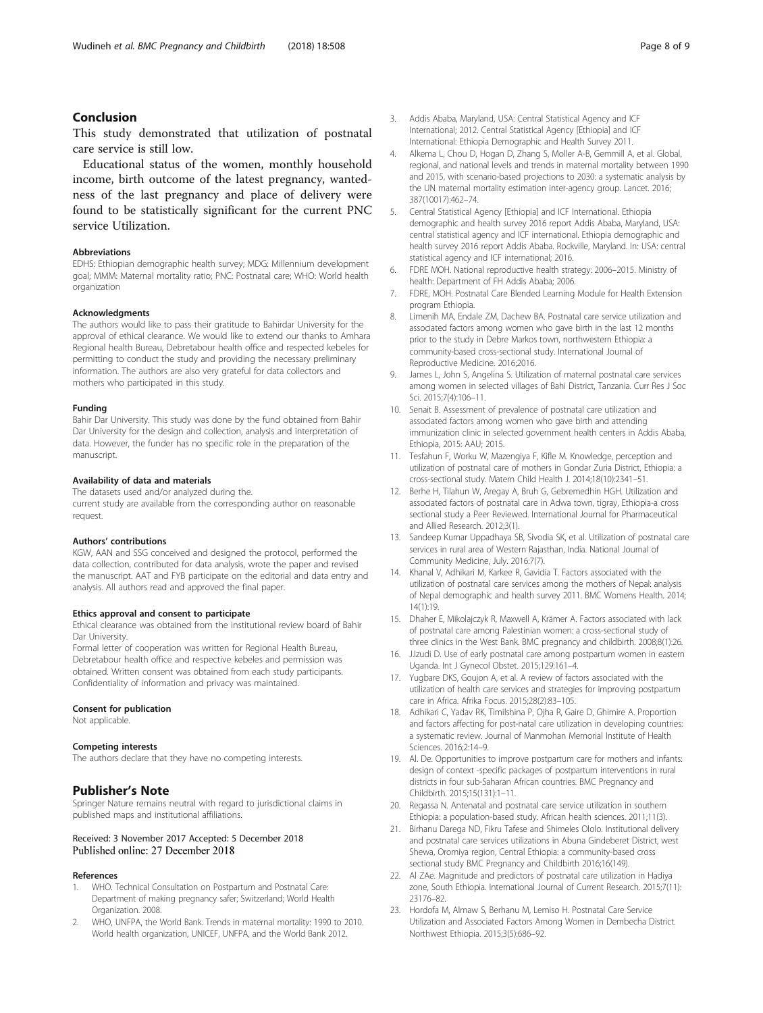### <span id="page-7-0"></span>Conclusion

This study demonstrated that utilization of postnatal care service is still low.

Educational status of the women, monthly household income, birth outcome of the latest pregnancy, wantedness of the last pregnancy and place of delivery were found to be statistically significant for the current PNC service Utilization.

#### Abbreviations

EDHS: Ethiopian demographic health survey; MDG: Millennium development goal; MMM: Maternal mortality ratio; PNC: Postnatal care; WHO: World health organization

#### Acknowledgments

The authors would like to pass their gratitude to Bahirdar University for the approval of ethical clearance. We would like to extend our thanks to Amhara Regional health Bureau, Debretabour health office and respected kebeles for permitting to conduct the study and providing the necessary preliminary information. The authors are also very grateful for data collectors and mothers who participated in this study.

#### Funding

Bahir Dar University. This study was done by the fund obtained from Bahir Dar University for the design and collection, analysis and interpretation of data. However, the funder has no specific role in the preparation of the manuscript.

#### Availability of data and materials

The datasets used and/or analyzed during the. current study are available from the corresponding author on reasonable request.

#### Authors' contributions

KGW, AAN and SSG conceived and designed the protocol, performed the data collection, contributed for data analysis, wrote the paper and revised the manuscript. AAT and FYB participate on the editorial and data entry and analysis. All authors read and approved the final paper.

#### Ethics approval and consent to participate

Ethical clearance was obtained from the institutional review board of Bahir Dar University.

Formal letter of cooperation was written for Regional Health Bureau, Debretabour health office and respective kebeles and permission was obtained. Written consent was obtained from each study participants. Confidentiality of information and privacy was maintained.

#### Consent for publication

Not applicable.

#### Competing interests

The authors declare that they have no competing interests.

### Publisher's Note

Springer Nature remains neutral with regard to jurisdictional claims in published maps and institutional affiliations.

### Received: 3 November 2017 Accepted: 5 December 2018 Published online: 27 December 2018

#### References

- WHO. Technical Consultation on Postpartum and Postnatal Care: Department of making pregnancy safer; Switzerland; World Health Organization. 2008.
- 2. WHO, UNFPA, the World Bank. Trends in maternal mortality: 1990 to 2010. World health organization, UNICEF, UNFPA, and the World Bank 2012.
- 3. Addis Ababa, Maryland, USA: Central Statistical Agency and ICF International; 2012. Central Statistical Agency [Ethiopia] and ICF International: Ethiopia Demographic and Health Survey 2011.
- 4. Alkema L, Chou D, Hogan D, Zhang S, Moller A-B, Gemmill A, et al. Global, regional, and national levels and trends in maternal mortality between 1990 and 2015, with scenario-based projections to 2030: a systematic analysis by the UN maternal mortality estimation inter-agency group. Lancet. 2016; 387(10017):462–74.
- 5. Central Statistical Agency [Ethiopia] and ICF International. Ethiopia demographic and health survey 2016 report Addis Ababa, Maryland, USA: central statistical agency and ICF international. Ethiopia demographic and health survey 2016 report Addis Ababa. Rockville, Maryland. In: USA: central statistical agency and ICF international; 2016.
- 6. FDRE MOH. National reproductive health strategy: 2006–2015. Ministry of health: Department of FH Addis Ababa; 2006.
- 7. FDRE, MOH. Postnatal Care Blended Learning Module for Health Extension program Ethiopia.
- 8. Limenih MA, Endale ZM, Dachew BA. Postnatal care service utilization and associated factors among women who gave birth in the last 12 months prior to the study in Debre Markos town, northwestern Ethiopia: a community-based cross-sectional study. International Journal of Reproductive Medicine. 2016;2016.
- James L, John S, Angelina S. Utilization of maternal postnatal care services among women in selected villages of Bahi District, Tanzania. Curr Res J Soc Sci. 2015;7(4):106–11.
- 10. Senait B. Assessment of prevalence of postnatal care utilization and associated factors among women who gave birth and attending immunization clinic in selected government health centers in Addis Ababa, Ethiopia, 2015: AAU; 2015.
- 11. Tesfahun F, Worku W, Mazengiya F, Kifle M. Knowledge, perception and utilization of postnatal care of mothers in Gondar Zuria District, Ethiopia: a cross-sectional study. Matern Child Health J. 2014;18(10):2341–51.
- 12. Berhe H, Tilahun W, Aregay A, Bruh G, Gebremedhin HGH. Utilization and associated factors of postnatal care in Adwa town, tigray, Ethiopia-a cross sectional study a Peer Reviewed. International Journal for Pharmaceutical and Allied Research. 2012;3(1).
- 13. Sandeep Kumar Uppadhaya SB, Sivodia SK, et al. Utilization of postnatal care services in rural area of Western Rajasthan, India. National Journal of Community Medicine, July. 2016:7(7).
- 14. Khanal V, Adhikari M, Karkee R, Gavidia T. Factors associated with the utilization of postnatal care services among the mothers of Nepal: analysis of Nepal demographic and health survey 2011. BMC Womens Health. 2014; 14(1):19.
- 15. Dhaher E, Mikolajczyk R, Maxwell A, Krämer A. Factors associated with lack of postnatal care among Palestinian women: a cross-sectional study of three clinics in the West Bank. BMC pregnancy and childbirth. 2008;8(1):26.
- 16. J.Izudi D. Use of early postnatal care among postpartum women in eastern Uganda. Int J Gynecol Obstet. 2015;129:161–4.
- 17. Yugbare DKS, Goujon A, et al. A review of factors associated with the utilization of health care services and strategies for improving postpartum care in Africa. Afrika Focus. 2015;28(2):83–105.
- 18. Adhikari C, Yadav RK, Timilshina P, Ojha R, Gaire D, Ghimire A. Proportion and factors affecting for post-natal care utilization in developing countries: a systematic review. Journal of Manmohan Memorial Institute of Health Sciences. 2016;2:14–9.
- 19. Al. De. Opportunities to improve postpartum care for mothers and infants: design of context -specific packages of postpartum interventions in rural districts in four sub-Saharan African countries. BMC Pregnancy and Childbirth. 2015;15(131):1–11.
- 20. Regassa N. Antenatal and postnatal care service utilization in southern Ethiopia: a population-based study. African health sciences. 2011;11(3).
- 21. Birhanu Darega ND, Fikru Tafese and Shimeles Ololo. Institutional delivery and postnatal care services utilizations in Abuna Gindeberet District, west Shewa, Oromiya region, Central Ethiopia: a community-based cross sectional study BMC Pregnancy and Childbirth 2016;16(149).
- 22. Al ZAe. Magnitude and predictors of postnatal care utilization in Hadiya zone, South Ethiopia. International Journal of Current Research. 2015;7(11): 23176–82.
- 23. Hordofa M, Almaw S, Berhanu M, Lemiso H. Postnatal Care Service Utilization and Associated Factors Among Women in Dembecha District. Northwest Ethiopia. 2015;3(5):686–92.